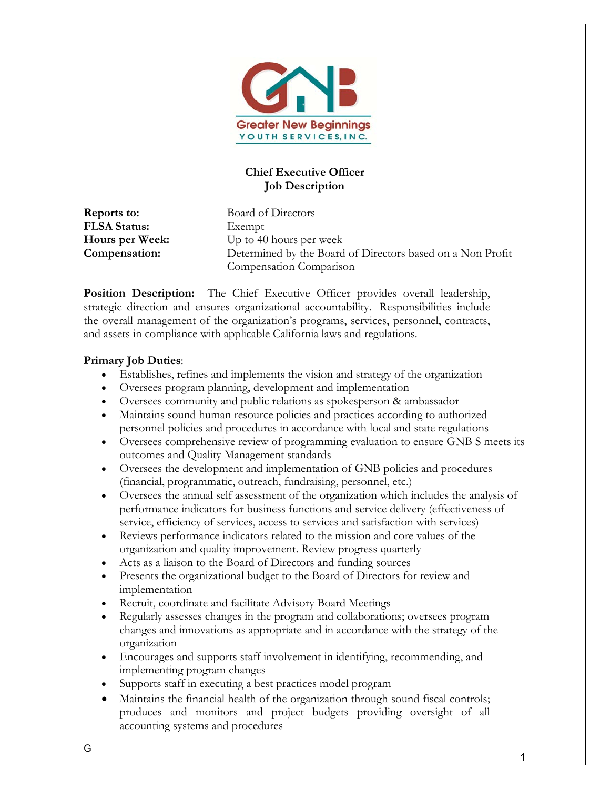

# **Chief Executive Officer Job Description**

**FLSA Status:** Exempt

**Reports to:** Board of Directors **Hours per Week:** Up to 40 hours per week **Compensation:** Determined by the Board of Directors based on a Non Profit Compensation Comparison

**Position Description:** The Chief Executive Officer provides overall leadership, strategic direction and ensures organizational accountability. Responsibilities include the overall management of the organization's programs, services, personnel, contracts, and assets in compliance with applicable California laws and regulations.

### **Primary Job Duties**:

- Establishes, refines and implements the vision and strategy of the organization
- Oversees program planning, development and implementation
- Oversees community and public relations as spokesperson & ambassador
- Maintains sound human resource policies and practices according to authorized personnel policies and procedures in accordance with local and state regulations
- Oversees comprehensive review of programming evaluation to ensure GNB S meets its outcomes and Quality Management standards
- Oversees the development and implementation of GNB policies and procedures (financial, programmatic, outreach, fundraising, personnel, etc.)
- Oversees the annual self assessment of the organization which includes the analysis of performance indicators for business functions and service delivery (effectiveness of service, efficiency of services, access to services and satisfaction with services)
- Reviews performance indicators related to the mission and core values of the organization and quality improvement. Review progress quarterly
- Acts as a liaison to the Board of Directors and funding sources
- Presents the organizational budget to the Board of Directors for review and implementation
- Recruit, coordinate and facilitate Advisory Board Meetings
- Regularly assesses changes in the program and collaborations; oversees program changes and innovations as appropriate and in accordance with the strategy of the organization
- Encourages and supports staff involvement in identifying, recommending, and implementing program changes
- Supports staff in executing a best practices model program
- Maintains the financial health of the organization through sound fiscal controls; produces and monitors and project budgets providing oversight of all accounting systems and procedures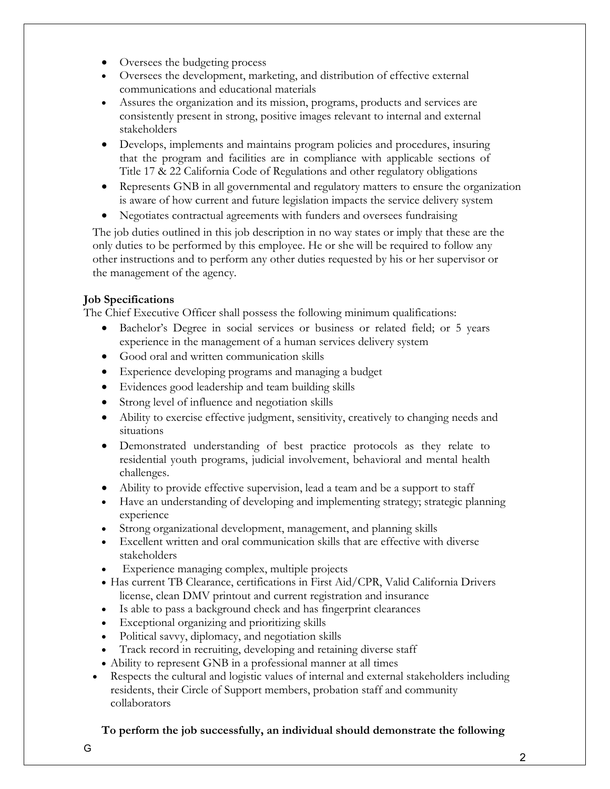- Oversees the budgeting process
- Oversees the development, marketing, and distribution of effective external communications and educational materials
- Assures the organization and its mission, programs, products and services are consistently present in strong, positive images relevant to internal and external stakeholders
- Develops, implements and maintains program policies and procedures, insuring that the program and facilities are in compliance with applicable sections of Title 17 & 22 California Code of Regulations and other regulatory obligations
- Represents GNB in all governmental and regulatory matters to ensure the organization is aware of how current and future legislation impacts the service delivery system
- Negotiates contractual agreements with funders and oversees fundraising

The job duties outlined in this job description in no way states or imply that these are the only duties to be performed by this employee. He or she will be required to follow any other instructions and to perform any other duties requested by his or her supervisor or the management of the agency.

# **Job Specifications**

The Chief Executive Officer shall possess the following minimum qualifications:

- Bachelor's Degree in social services or business or related field; or 5 years experience in the management of a human services delivery system
- Good oral and written communication skills
- Experience developing programs and managing a budget
- Evidences good leadership and team building skills
- Strong level of influence and negotiation skills
- Ability to exercise effective judgment, sensitivity, creatively to changing needs and situations
- Demonstrated understanding of best practice protocols as they relate to residential youth programs, judicial involvement, behavioral and mental health challenges.
- Ability to provide effective supervision, lead a team and be a support to staff
- Have an understanding of developing and implementing strategy; strategic planning experience
- Strong organizational development, management, and planning skills
- Excellent written and oral communication skills that are effective with diverse stakeholders
- Experience managing complex, multiple projects
- Has current TB Clearance, certifications in First Aid/CPR, Valid California Drivers license, clean DMV printout and current registration and insurance
- Is able to pass a background check and has fingerprint clearances
- Exceptional organizing and prioritizing skills
- Political savvy, diplomacy, and negotiation skills
- Track record in recruiting, developing and retaining diverse staff
- Ability to represent GNB in a professional manner at all times
- Respects the cultural and logistic values of internal and external stakeholders including residents, their Circle of Support members, probation staff and community collaborators

## **To perform the job successfully, an individual should demonstrate the following**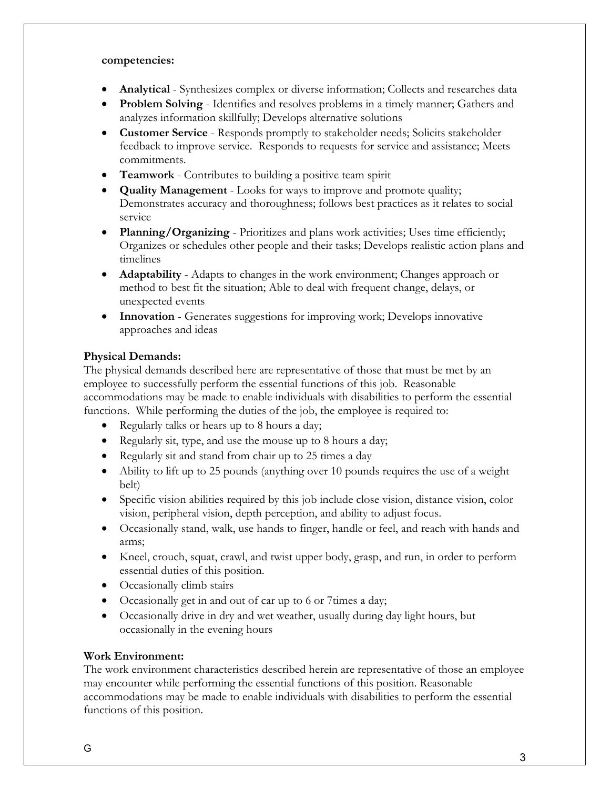#### **competencies:**

- **Analytical** Synthesizes complex or diverse information; Collects and researches data
- **Problem Solving** Identifies and resolves problems in a timely manner; Gathers and analyzes information skillfully; Develops alternative solutions
- **Customer Service** Responds promptly to stakeholder needs; Solicits stakeholder feedback to improve service. Responds to requests for service and assistance; Meets commitments.
- **Teamwork** Contributes to building a positive team spirit
- **Quality Management** Looks for ways to improve and promote quality; Demonstrates accuracy and thoroughness; follows best practices as it relates to social service
- **Planning/Organizing**  Prioritizes and plans work activities; Uses time efficiently; Organizes or schedules other people and their tasks; Develops realistic action plans and timelines
- **Adaptability** Adapts to changes in the work environment; Changes approach or method to best fit the situation; Able to deal with frequent change, delays, or unexpected events
- **Innovation**  Generates suggestions for improving work; Develops innovative approaches and ideas

### **Physical Demands:**

The physical demands described here are representative of those that must be met by an employee to successfully perform the essential functions of this job. Reasonable accommodations may be made to enable individuals with disabilities to perform the essential functions. While performing the duties of the job, the employee is required to:

- Regularly talks or hears up to 8 hours a day;
- Regularly sit, type, and use the mouse up to 8 hours a day;
- Regularly sit and stand from chair up to 25 times a day
- Ability to lift up to 25 pounds (anything over 10 pounds requires the use of a weight belt)
- Specific vision abilities required by this job include close vision, distance vision, color vision, peripheral vision, depth perception, and ability to adjust focus.
- Occasionally stand, walk, use hands to finger, handle or feel, and reach with hands and arms;
- Kneel, crouch, squat, crawl, and twist upper body, grasp, and run, in order to perform essential duties of this position.
- Occasionally climb stairs
- Occasionally get in and out of car up to 6 or 7times a day;
- Occasionally drive in dry and wet weather, usually during day light hours, but occasionally in the evening hours

### **Work Environment:**

The work environment characteristics described herein are representative of those an employee may encounter while performing the essential functions of this position. Reasonable accommodations may be made to enable individuals with disabilities to perform the essential functions of this position.